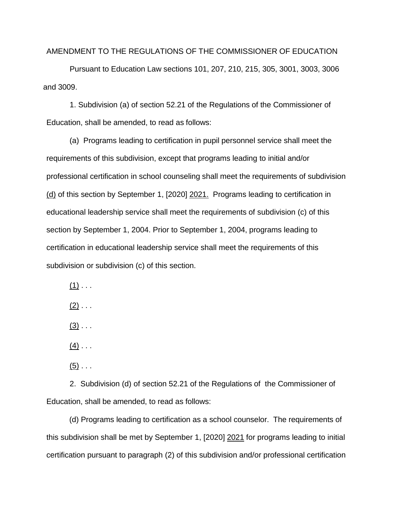AMENDMENT TO THE REGULATIONS OF THE COMMISSIONER OF EDUCATION

Pursuant to Education Law sections 101, 207, 210, 215, 305, 3001, 3003, 3006 and 3009.

1. Subdivision (a) of section 52.21 of the Regulations of the Commissioner of Education, shall be amended, to read as follows:

(a) Programs leading to certification in pupil personnel service shall meet the requirements of this subdivision, except that programs leading to initial and/or professional certification in school counseling shall meet the requirements of subdivision (d) of this section by September 1, [2020] 2021. Programs leading to certification in educational leadership service shall meet the requirements of subdivision (c) of this section by September 1, 2004. Prior to September 1, 2004, programs leading to certification in educational leadership service shall meet the requirements of this subdivision or subdivision (c) of this section.

 $(1)$  . . .

 $(2)$  . . .

 $(3)$  . . .

 $(4)$  . . .

 $(5)$  . . .

2. Subdivision (d) of section 52.21 of the Regulations of the Commissioner of Education, shall be amended, to read as follows:

(d) Programs leading to certification as a school counselor. The requirements of this subdivision shall be met by September 1, [2020] 2021 for programs leading to initial certification pursuant to paragraph (2) of this subdivision and/or professional certification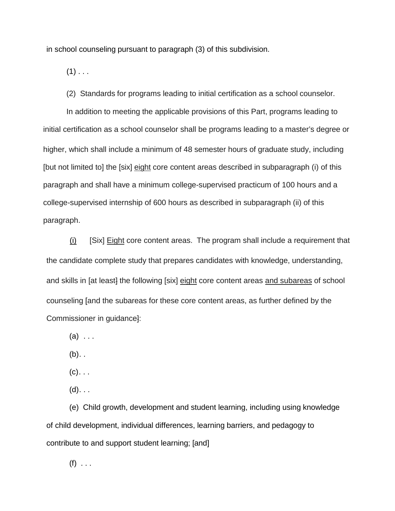in school counseling pursuant to paragraph (3) of this subdivision.

 $(1)$  . . .

(2) Standards for programs leading to initial certification as a school counselor.

In addition to meeting the applicable provisions of this Part, programs leading to initial certification as a school counselor shall be programs leading to a master's degree or higher, which shall include a minimum of 48 semester hours of graduate study, including [but not limited to] the [six] eight core content areas described in subparagraph (i) of this paragraph and shall have a minimum college-supervised practicum of 100 hours and a college-supervised internship of 600 hours as described in subparagraph (ii) of this paragraph.

 $(i)$  [Six] Eight core content areas. The program shall include a requirement that the candidate complete study that prepares candidates with knowledge, understanding, and skills in [at least] the following [six] eight core content areas and subareas of school counseling [and the subareas for these core content areas, as further defined by the Commissioner in guidance]:

 $(a)$  ...

 $(b)$ ..

 $(c)$ ...

 $(d)$ . . .

(e) Child growth, development and student learning, including using knowledge of child development, individual differences, learning barriers, and pedagogy to contribute to and support student learning; [and]

 $(f)$  . . .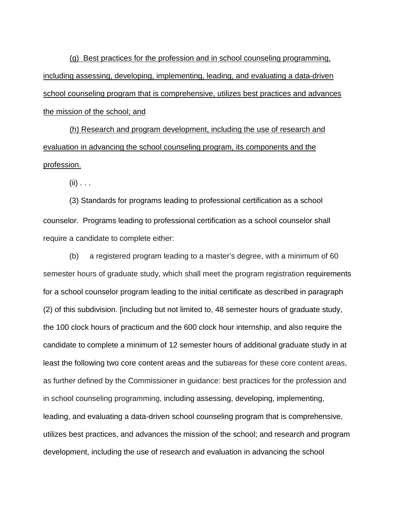(g) Best practices for the profession and in school counseling programming, including assessing, developing, implementing, leading, and evaluating a data-driven school counseling program that is comprehensive, utilizes best practices and advances the mission of the school; and

(h) Research and program development, including the use of research and evaluation in advancing the school counseling program, its components and the profession.

 $(ii)$  . . .

(3) Standards for programs leading to professional certification as a school counselor. Programs leading to professional certification as a school counselor shall require a candidate to complete either:

(b) a registered program leading to a master's degree , with a minimum of 60 semester hours of graduate study, which shall meet the program registration requirements for a school counselor program leading to the initial certificate as described in paragraph (2) of this subdivision. [including but not limited to, 48 semester hours of graduate study, the 100 clock hours of practicum and the 600 clock hour internship, and also require the candidate to complete a minimum of 12 semester hours of additional graduate study in at least the following two core content areas and the subareas for these core content areas, as further defined by the Commissioner in guidance: best practices for the profession and in school counseling programming, including assessing, developing, implementing, leading, and evaluating a data-driven school counseling program that is comprehensive, utilizes best practices, and advances the mission of the school; and research and program development, including the use of research and evaluation in advancing the school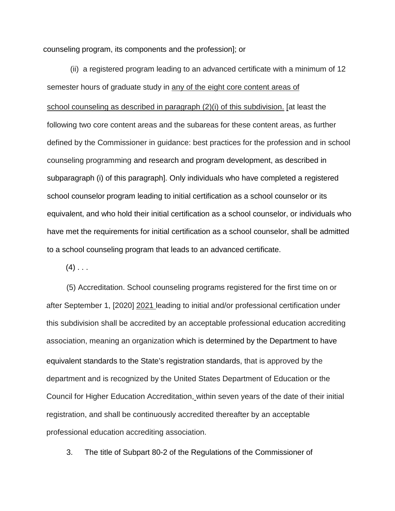counseling program, its components and the profession]; or

(ii) a registered program leading to an advanced certificate with a minimum of 12 semester hours of graduate study in any of the eight core content areas of school counseling as described in paragraph (2)(i) of this subdivision. [at least the following two core content areas and the subareas for these content areas, as further defined by the Commissioner in guidance: best practices for the profession and in school counseling programming and research and program development, as described in subparagraph (i) of this paragraph]. Only individuals who have completed a registered school counselor program leading to initial certification as a school counselor or its equivalent, and who hold their initial certification as a school counselor, or individuals who have met the requirements for initial certification as a school counselor, shall be admitted to a school counseling program that leads to an advanced certificate.

 $(4)$  . . .

(5) Accreditation. School counseling programs registered for the first time on or after September 1, [2020] 2021 leading to initial and/or professional certification under this subdivision shall be accredited by an acceptable professional education accrediting association, meaning an organization which is determined by the Department to have equivalent standards to the State's registration standards, that is approved by the department and is recognized by the United States Department of Education or the Council for Higher Education Accreditation, within seven years of the date of their initial registration, and shall be continuously accredited thereafter by an acceptable professional education accrediting association.

3. The title of Subpart 80-2 of the Regulations of the Commissioner of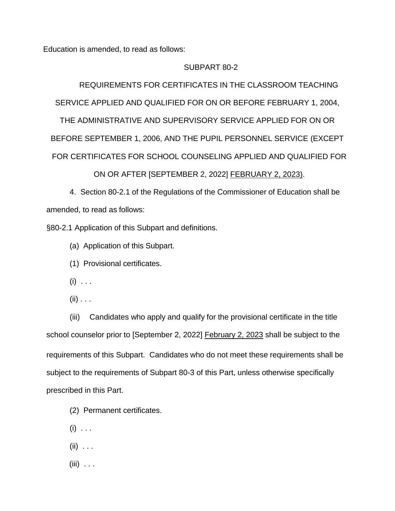Education is amended, to read as follows:

### SUBPART 80-2

REQUIREMENTS FOR CERTIFICATES IN THE CLASSROOM TEACHING SERVICE APPLIED AND QUALIFIED FOR ON OR BEFORE FEBRUARY 1, 2004,

THE ADMINISTRATIVE AND SUPERVISORY SERVICE APPLIED FOR ON OR BEFORE SEPTEMBER 1, 2006, AND THE PUPIL PERSONNEL SERVICE (EXCEPT FOR CERTIFICATES FOR SCHOOL COUNSELING APPLIED AND QUALIFIED FOR

# ON OR AFTER [SEPTEMBER 2, 2022] FEBRUARY 2, 2023).

4. Section 80-2.1 of the Regulations of the Commissioner of Education shall be amended, to read as follows:

§80-2.1 Application of this Subpart and definitions.

(a) Application of this Subpart.

(1) Provisional certificates.

- $(i) \ldots$
- $(ii) \ldots$

(iii) Candidates who apply and qualify for the provisional certificate in the title school counselor prior to [September 2, 2022] February 2, 2023 shall be subject to the requirements of this Subpart. Candidates who do not meet these requirements shall be subject to the requirements of Subpart 80-3 of this Part, unless otherwise specifically prescribed in this Part.

- (2) Permanent certificates.
- $(i) \ldots$
- $(ii)$  . . .
- $(iii)$  ...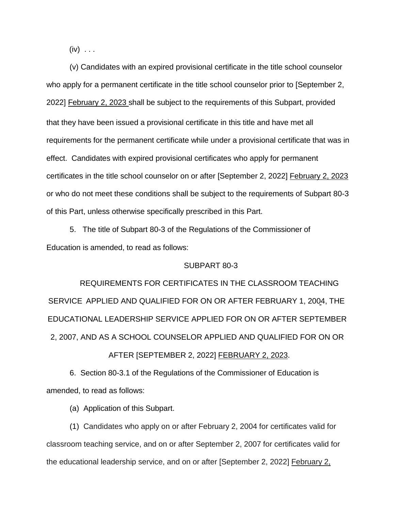$(iv) \ldots$ 

(v) Candidates with an expired provisional certificate in the title school counselor who apply for a permanent certificate in the title school counselor prior to [September 2, 2022] February 2, 2023 shall be subject to the requirements of this Subpart, provided that they have been issued a provisional certificate in this title and have met all requirements for the permanent certificate while under a provisional certificate that was in effect. Candidates with expired provisional certificates who apply for permanent certificates in the title school counselor on or after [September 2, 2022] February 2, 2023 or who do not meet these conditions shall be subject to the requirements of Subpart 80-3 of this Part, unless otherwise specifically prescribed in this Part.

5. The title of Subpart 80-3 of the Regulations of the Commissioner of Education is amended, to read as follows:

#### SUBPART 80-3

REQUIREMENTS FOR CERTIFICATES IN THE CLASSROOM TEACHING SERVICE APPLIED AND QUALIFIED FOR ON OR AFTER FEBRUARY 1, 2004, THE EDUCATIONAL LEADERSHIP SERVICE APPLIED FOR ON OR AFTER SEPTEMBER 2, 2007, AND AS A SCHOOL COUNSELOR APPLIED AND QUALIFIED FOR ON OR

## AFTER [SEPTEMBER 2, 2022] FEBRUARY 2, 2023.

6. Section 80-3.1 of the Regulations of the Commissioner of Education is amended, to read as follows:

(a) Application of this Subpart.

(1) Candidates who apply on or after February 2, 2004 for certificates valid for classroom teaching service, and on or after September 2, 2007 for certificates valid for the educational leadership service, and on or after [September 2, 2022] February 2,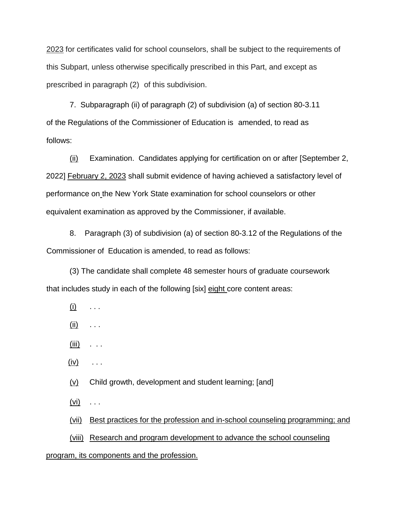2023 for certificates valid for school counselors, shall be subject to the requirements of this Subpart, unless otherwise specifically prescribed in this Part, and except as prescribed in paragraph (2) of this subdivision.

7. Subparagraph (ii) of paragraph (2) of subdivision (a) of section 80-3.11 of the Regulations of the Commissioner of Education is amended, to read as follows:

(ii) Examination. Candidates applying for certification on or after [September 2, 2022] February 2, 2023 shall submit evidence of having achieved a satisfactory level of performance on the New York State examination for school counselors or other equivalent examination as approved by the Commissioner, if available.

8. Paragraph (3) of subdivision (a) of section 80-3.12 of the Regulations of the Commissioner of Education is amended, to read as follows:

(3) The candidate shall complete 48 semester hours of graduate coursework that includes study in each of the following [six] eight core content areas:

- $(i)$  . . .
- $(ii)$  . . .
- $(iii)$  . . .
- $(iv)$  ...
- (v) Child growth, development and student learning; [and]
- $(vi) \quad \ldots$

(vii) Best practices for the profession and in-school counseling programming; and

(viii) Research and program development to advance the school counseling

#### program, its components and the profession.